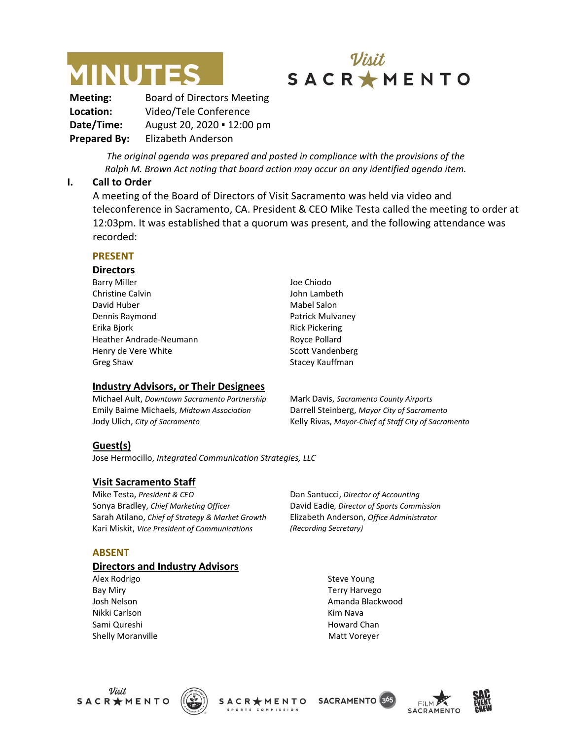



**Meeting:** Board of Directors Meeting **Location:** Video/Tele Conference **Date/Time:** August 20, 2020 ▪ 12:00 pm **Prepared By:** Elizabeth Anderson

> *The original agenda was prepared and posted in compliance with the provisions of the Ralph M. Brown Act noting that board action may occur on any identified agenda item.*

#### **I. Call to Order**

A meeting of the Board of Directors of Visit Sacramento was held via video and teleconference in Sacramento, CA. President & CEO Mike Testa called the meeting to order at 12:03pm. It was established that a quorum was present, and the following attendance was recorded:

#### **PRESENT**

#### **Directors**

Barry Miller Christine Calvin David Huber Dennis Raymond Erika Bjork Heather Andrade-Neumann Henry de Vere White Greg Shaw Joe Chiodo John Lambeth Mabel Salon Patrick Mulvaney Rick Pickering Royce Pollard Scott Vandenberg Stacey Kauffman

#### **Industry Advisors, or Their Designees**

Michael Ault, *Downtown Sacramento Partnership* Emily Baime Michaels, *Midtown Association* Jody Ulich, *City of Sacramento*

Mark Davis, *Sacramento County Airports* Darrell Steinberg, *Mayor City of Sacramento* Kelly Rivas, *Mayor-Chief of Staff City of Sacramento*

#### **Guest(s)**

Jose Hermocillo, *Integrated Communication Strategies, LLC*

#### **Visit Sacramento Staff**

Mike Testa, *President & CEO* Sonya Bradley, *Chief Marketing Officer* Sarah Atilano, *Chief of Strategy & Market Growth* Kari Miskit, *Vice President of Communications*

**ABSENT**

#### **Directors and Industry Advisors**

Alex Rodrigo Bay Miry Josh Nelson Nikki Carlson Sami Qureshi Shelly Moranville Dan Santucci, *Director of Accounting* David Eadie*, Director of Sports Commission* Elizabeth Anderson, *Office Administrator (Recording Secretary)*

> Steve Young Terry Harvego Amanda Blackwood Kim Nava Howard Chan Matt Voreyer



**SACRAMENTO** 3<sup>6</sup> SACR \* MENTO



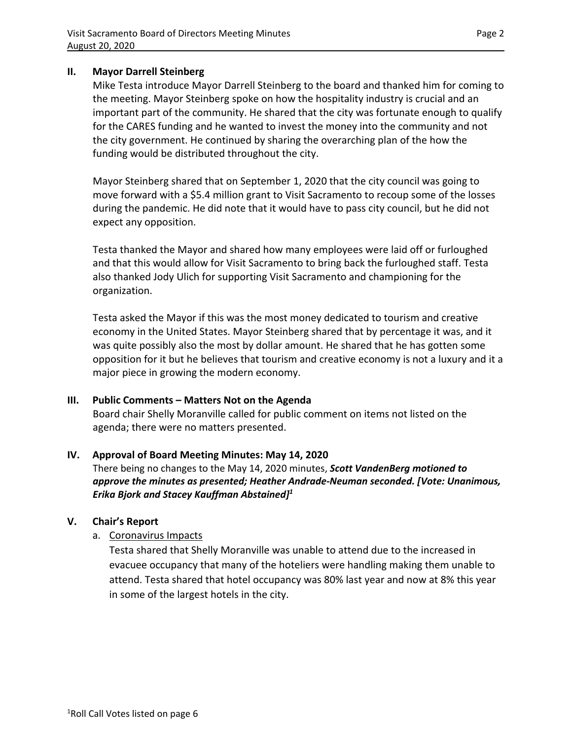#### **II. Mayor Darrell Steinberg**

Mike Testa introduce Mayor Darrell Steinberg to the board and thanked him for coming to the meeting. Mayor Steinberg spoke on how the hospitality industry is crucial and an important part of the community. He shared that the city was fortunate enough to qualify for the CARES funding and he wanted to invest the money into the community and not the city government. He continued by sharing the overarching plan of the how the funding would be distributed throughout the city.

Mayor Steinberg shared that on September 1, 2020 that the city council was going to move forward with a \$5.4 million grant to Visit Sacramento to recoup some of the losses during the pandemic. He did note that it would have to pass city council, but he did not expect any opposition.

Testa thanked the Mayor and shared how many employees were laid off or furloughed and that this would allow for Visit Sacramento to bring back the furloughed staff. Testa also thanked Jody Ulich for supporting Visit Sacramento and championing for the organization.

Testa asked the Mayor if this was the most money dedicated to tourism and creative economy in the United States. Mayor Steinberg shared that by percentage it was, and it was quite possibly also the most by dollar amount. He shared that he has gotten some opposition for it but he believes that tourism and creative economy is not a luxury and it a major piece in growing the modern economy.

### **III. Public Comments – Matters Not on the Agenda**

Board chair Shelly Moranville called for public comment on items not listed on the agenda; there were no matters presented.

### **IV. Approval of Board Meeting Minutes: May 14, 2020**

There being no changes to the May 14, 2020 minutes, *Scott VandenBerg motioned to approve the minutes as presented; Heather Andrade-Neuman seconded. [Vote: Unanimous, Erika Bjork and Stacey Kauffman Abstained] 1*

### **V. Chair's Report**

a. Coronavirus Impacts

Testa shared that Shelly Moranville was unable to attend due to the increased in evacuee occupancy that many of the hoteliers were handling making them unable to attend. Testa shared that hotel occupancy was 80% last year and now at 8% this year in some of the largest hotels in the city.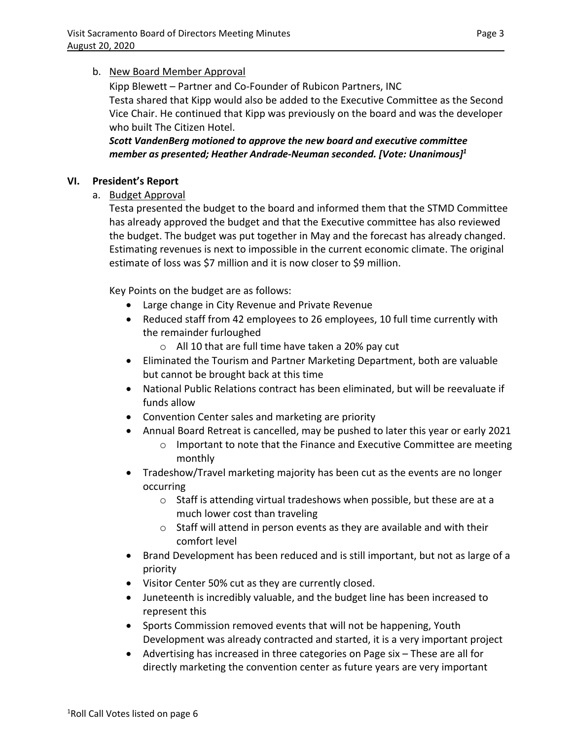## b. New Board Member Approval

Kipp Blewett – Partner and Co-Founder of Rubicon Partners, INC Testa shared that Kipp would also be added to the Executive Committee as the Second Vice Chair. He continued that Kipp was previously on the board and was the developer who built The Citizen Hotel.

*Scott VandenBerg motioned to approve the new board and executive committee member as presented; Heather Andrade-Neuman seconded. [Vote: Unanimous]<sup>1</sup>*

## **VI. President's Report**

a. Budget Approval

Testa presented the budget to the board and informed them that the STMD Committee has already approved the budget and that the Executive committee has also reviewed the budget. The budget was put together in May and the forecast has already changed. Estimating revenues is next to impossible in the current economic climate. The original estimate of loss was \$7 million and it is now closer to \$9 million.

Key Points on the budget are as follows:

- Large change in City Revenue and Private Revenue
- Reduced staff from 42 employees to 26 employees, 10 full time currently with the remainder furloughed
	- o All 10 that are full time have taken a 20% pay cut
- Eliminated the Tourism and Partner Marketing Department, both are valuable but cannot be brought back at this time
- National Public Relations contract has been eliminated, but will be reevaluate if funds allow
- Convention Center sales and marketing are priority
- Annual Board Retreat is cancelled, may be pushed to later this year or early 2021
	- $\circ$  Important to note that the Finance and Executive Committee are meeting monthly
- Tradeshow/Travel marketing majority has been cut as the events are no longer occurring
	- o Staff is attending virtual tradeshows when possible, but these are at a much lower cost than traveling
	- o Staff will attend in person events as they are available and with their comfort level
- Brand Development has been reduced and is still important, but not as large of a priority
- Visitor Center 50% cut as they are currently closed.
- Juneteenth is incredibly valuable, and the budget line has been increased to represent this
- Sports Commission removed events that will not be happening, Youth Development was already contracted and started, it is a very important project
- Advertising has increased in three categories on Page six These are all for directly marketing the convention center as future years are very important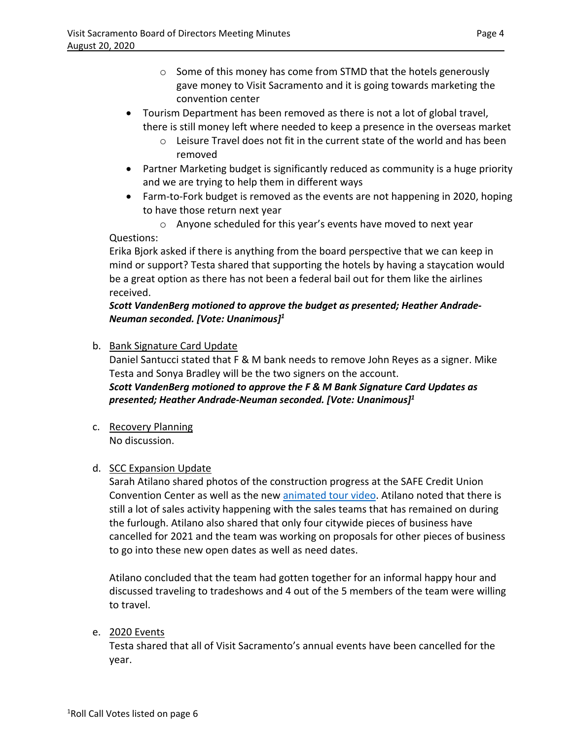- o Some of this money has come from STMD that the hotels generously gave money to Visit Sacramento and it is going towards marketing the convention center
- Tourism Department has been removed as there is not a lot of global travel, there is still money left where needed to keep a presence in the overseas market
	- $\circ$  Leisure Travel does not fit in the current state of the world and has been removed
- Partner Marketing budget is significantly reduced as community is a huge priority and we are trying to help them in different ways
- Farm-to-Fork budget is removed as the events are not happening in 2020, hoping to have those return next year

o Anyone scheduled for this year's events have moved to next year Questions:

Erika Bjork asked if there is anything from the board perspective that we can keep in mind or support? Testa shared that supporting the hotels by having a staycation would be a great option as there has not been a federal bail out for them like the airlines received.

## *Scott VandenBerg motioned to approve the budget as presented; Heather Andrade-Neuman seconded. [Vote: Unanimous]<sup>1</sup>*

b. Bank Signature Card Update

Daniel Santucci stated that F & M bank needs to remove John Reyes as a signer. Mike Testa and Sonya Bradley will be the two signers on the account. *Scott VandenBerg motioned to approve the F & M Bank Signature Card Updates as* 

*presented; Heather Andrade-Neuman seconded. [Vote: Unanimous]<sup>1</sup>*

c. Recovery Planning No discussion.

# d. SCC Expansion Update

Sarah Atilano shared photos of the construction progress at the SAFE Credit Union Convention Center as well as the new [animated tour video.](https://youtu.be/qch4c-Qblmc) Atilano noted that there is still a lot of sales activity happening with the sales teams that has remained on during the furlough. Atilano also shared that only four citywide pieces of business have cancelled for 2021 and the team was working on proposals for other pieces of business to go into these new open dates as well as need dates.

Atilano concluded that the team had gotten together for an informal happy hour and discussed traveling to tradeshows and 4 out of the 5 members of the team were willing to travel.

# e. 2020 Events

Testa shared that all of Visit Sacramento's annual events have been cancelled for the year.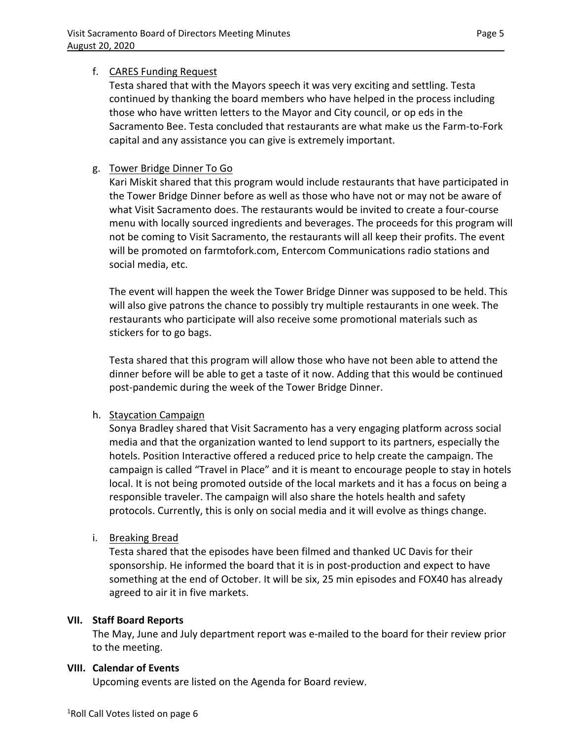## f. CARES Funding Request

Testa shared that with the Mayors speech it was very exciting and settling. Testa continued by thanking the board members who have helped in the process including those who have written letters to the Mayor and City council, or op eds in the Sacramento Bee. Testa concluded that restaurants are what make us the Farm-to-Fork capital and any assistance you can give is extremely important.

# g. Tower Bridge Dinner To Go

Kari Miskit shared that this program would include restaurants that have participated in the Tower Bridge Dinner before as well as those who have not or may not be aware of what Visit Sacramento does. The restaurants would be invited to create a four-course menu with locally sourced ingredients and beverages. The proceeds for this program will not be coming to Visit Sacramento, the restaurants will all keep their profits. The event will be promoted on farmtofork.com, Entercom Communications radio stations and social media, etc.

The event will happen the week the Tower Bridge Dinner was supposed to be held. This will also give patrons the chance to possibly try multiple restaurants in one week. The restaurants who participate will also receive some promotional materials such as stickers for to go bags.

Testa shared that this program will allow those who have not been able to attend the dinner before will be able to get a taste of it now. Adding that this would be continued post-pandemic during the week of the Tower Bridge Dinner.

### h. Staycation Campaign

Sonya Bradley shared that Visit Sacramento has a very engaging platform across social media and that the organization wanted to lend support to its partners, especially the hotels. Position Interactive offered a reduced price to help create the campaign. The campaign is called "Travel in Place" and it is meant to encourage people to stay in hotels local. It is not being promoted outside of the local markets and it has a focus on being a responsible traveler. The campaign will also share the hotels health and safety protocols. Currently, this is only on social media and it will evolve as things change.

i. Breaking Bread

Testa shared that the episodes have been filmed and thanked UC Davis for their sponsorship. He informed the board that it is in post-production and expect to have something at the end of October. It will be six, 25 min episodes and FOX40 has already agreed to air it in five markets.

### **VII. Staff Board Reports**

The May, June and July department report was e-mailed to the board for their review prior to the meeting.

### **VIII. Calendar of Events**

Upcoming events are listed on the Agenda for Board review.